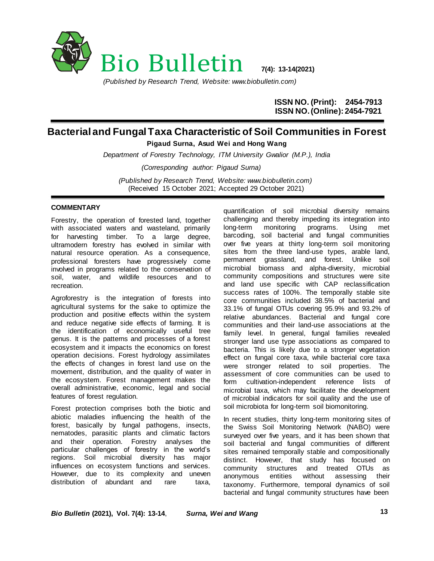

*(Published by Research Trend, Website: www.biobulletin.com)*

**ISSN NO. (Print): 2454-7913 ISSN NO.(Online): 2454-7921**

## **Bacterial and Fungal Taxa Characteristic of Soil Communities in Forest Pigaud Surna, Asud Wei and Hong Wang**

*Department of Forestry Technology, ITM University Gwalior (M.P.), India (Corresponding author: Pigaud Surna) (Published by Research Trend, Website: [www.biobulletin.com\)](http://www.biobulletin.com/)* (Received 15 October 2021; Accepted 29 October 2021)

## **COMMENTARY**

Forestry, the operation of forested land, together with associated waters and wasteland, primarily for harvesting timber. To a large degree, ultramodern forestry has evolved in similar with natural resource operation. As a consequence, professional foresters have progressively come involved in programs related to the conservation of soil, water, and wildlife resources and to recreation.

Agroforestry is the integration of forests into agricultural systems for the sake to optimize the production and positive effects within the system and reduce negative side effects of farming. It is the identification of economically useful tree genus. It is the patterns and processes of a forest ecosystem and it impacts the economics on forest operation decisions. Forest hydrology assimilates the effects of changes in forest land use on the movement, distribution, and the quality of water in the ecosystem. Forest management makes the overall administrative, economic, legal and social features of forest regulation.

Forest protection comprises both the biotic and abiotic maladies influencing the health of the forest, basically by fungal pathogens, insects, nematodes, parasitic plants and climatic factors and their operation. Forestry analyses the particular challenges of forestry in the world's regions. Soil microbial diversity has major influences on ecosystem functions and services. However, due to its complexity and uneven distribution of abundant and rare taxa,

quantification of soil microbial diversity remains challenging and thereby impeding its integration into long-term monitoring programs. Using met barcoding, soil bacterial and fungal communities over five years at thirty long-term soil monitoring sites from the three land-use types, arable land, permanent grassland, and forest. Unlike soil microbial biomass and alpha-diversity, microbial community compositions and structures were site and land use specific with CAP reclassification success rates of 100%. The temporally stable site core communities included 38.5% of bacterial and 33.1% of fungal OTUs covering 95.9% and 93.2% of relative abundances. Bacterial and fungal core communities and their land-use associations at the family level. In general, fungal families revealed stronger land use type associations as compared to bacteria. This is likely due to a stronger vegetation effect on fungal core taxa, while bacterial core taxa were stronger related to soil properties. The assessment of core communities can be used to form cultivation-independent reference lists of microbial taxa, which may facilitate the development of microbial indicators for soil quality and the use of soil microbiota for long-term soil biomonitoring.

In recent studies, thirty long-term monitoring sites of the Swiss Soil Monitoring Network (NABO) were surveyed over five years, and it has been shown that soil bacterial and fungal communities of different sites remained temporally stable and compositionally distinct. However, that study has focused on community structures and treated OTUs as anonymous entities without assessing their taxonomy. Furthermore, temporal dynamics of soil bacterial and fungal community structures have been